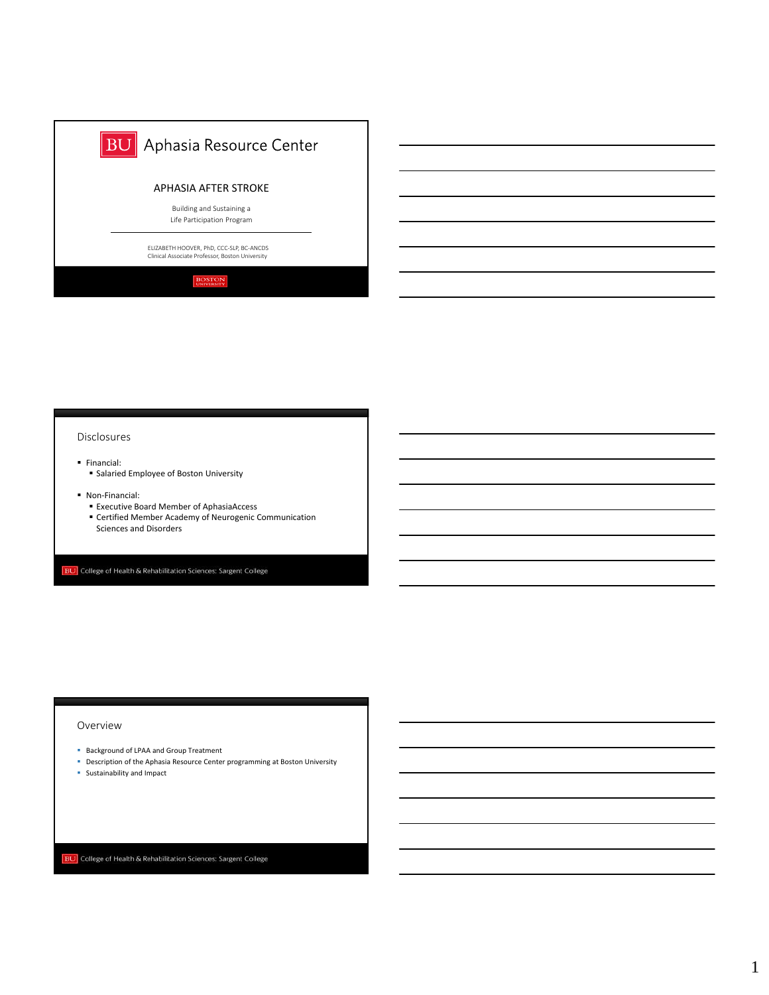

#### Disclosures

- Financial:
- **B** Salaried Employee of Boston University
- Non-Financial:
	- Executive Board Member of AphasiaAccess
	- Certified Member Academy of Neurogenic Communication Sciences and Disorders

**BU** College of Health & Rehabilitation Sciences: Sargent College

### Overview

- **Background of LPAA and Group Treatment**
- Description of the Aphasia Resource Center programming at Boston University
- Sustainability and Impact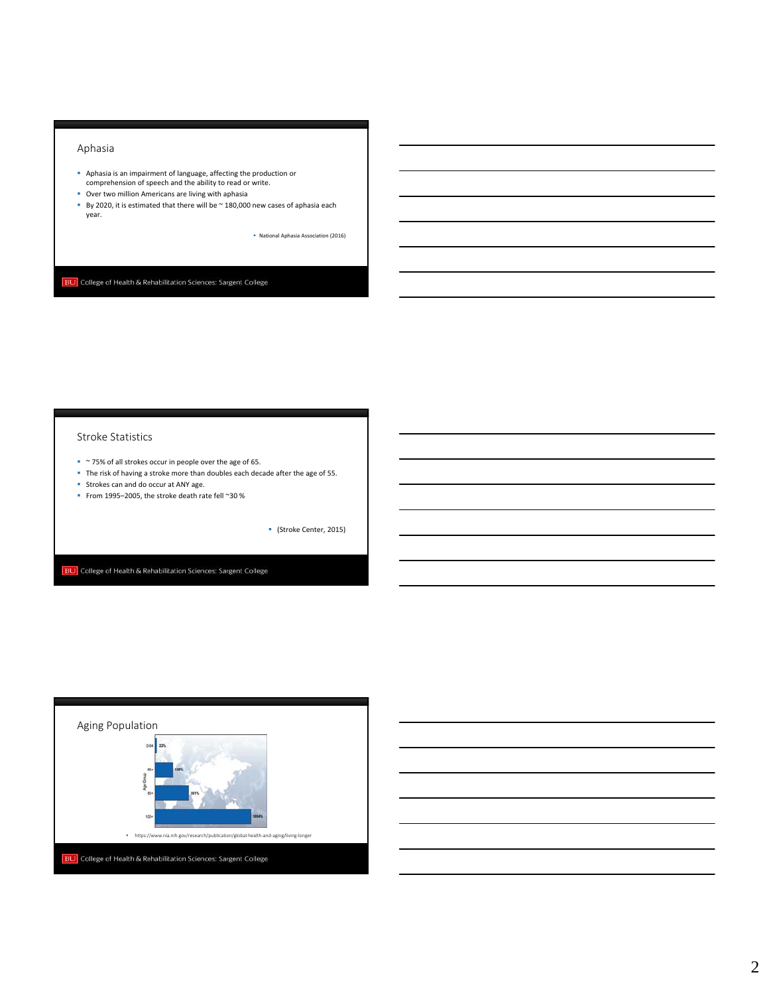### Aphasia

- **Bostom Indem Indem Indem**<br>Comprehension of speech and the ability to read or write.<br>Comprehension of speech and the ability to read or write.
- Over two million Americans are living with aphasia
- By 2020, it is estimated that there will be  $\sim$  180,000 new cases of aphasia each year.

National Aphasia Association (2016)

**BU** College of Health & Rehabilitation Sciences: Sargent College

#### Stroke Statistics

- ~ 75% of all strokes occur in people over the age of 65.
- The risk of having a stroke more than doubles each decade after the age of 55.
- **Strokes can and do occur at ANY age.**
- From 1995–2005, the stroke death rate fell ~30 %

(Stroke Center, 2015)

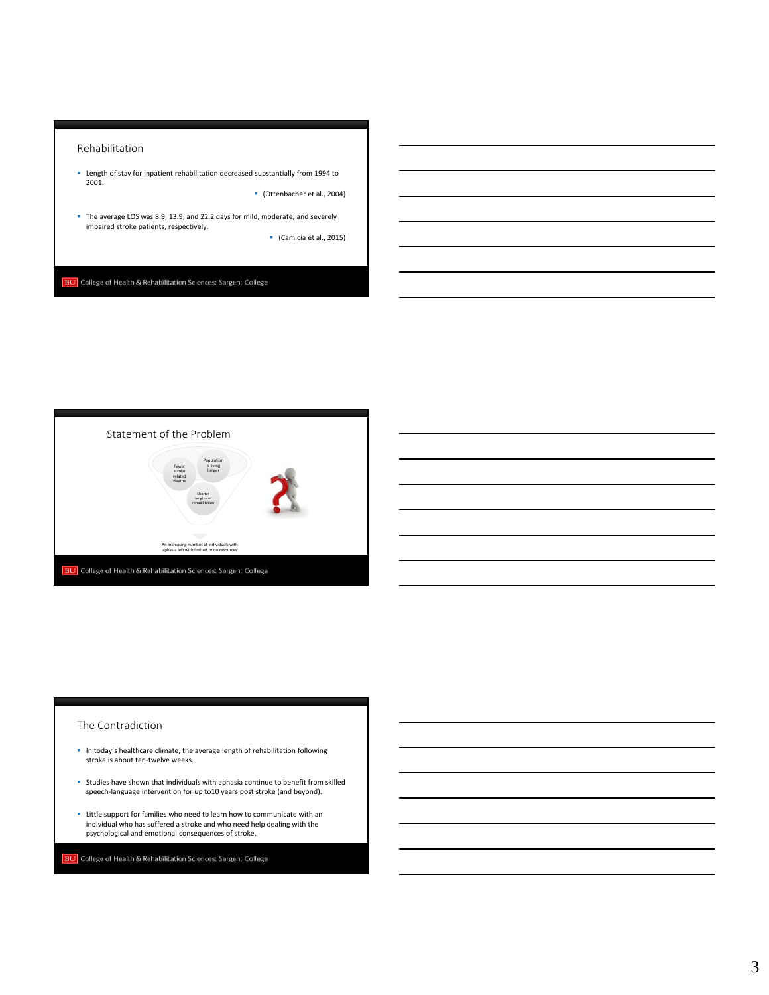### Rehabilitation

 Length of stay for inpatient rehabilitation decreased substantially from 1994 to 2001.

(Ottenbacher et al., 2004)

The average LOS was 8.9, 13.9, and 22.2 days for mild, moderate, and severely impaired stroke patients, respectively.

(Camicia et al., 2015)

**BU** College of Health & Rehabilitation Sciences: Sargent College



## The Contradiction

- In today's healthcare climate, the average length of rehabilitation following stroke is about ten-twelve weeks.
- Studies have shown that individuals with aphasia continue to benefit from skilled speech-language intervention for up to10 years post stroke (and beyond).
- Little support for families who need to learn how to communicate with an individual who has suffered a stroke and who need help dealing with the psychological and emotional consequences of stroke.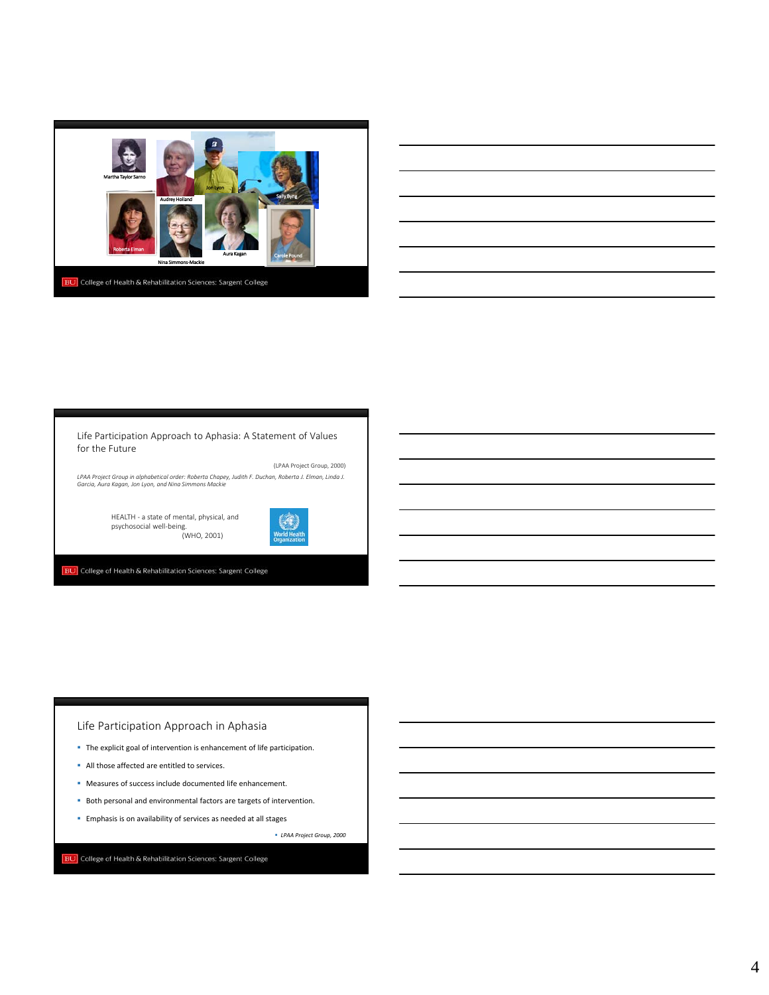

### for the Future Life Participation Approach to Aphasia: A Statement of Values

(LPAA Project Group, 2000) *LPAA Project Group in alphabetical order: Roberta Chapey, Judith F. Duchan, Roberta J. Elman, Linda J. Garcia, Aura Kagan, Jon Lyon, and Nina Simmons Mackie*

> HEALTH ‐ a state of mental, physical, and psychosocial well‐being. (WHO, 2001)



**BU** College of Health & Rehabilitation Sciences: Sargent College

# Life Participation Approach in Aphasia

- **B** The explicit goal of intervention is enhancement of life participation.
- All those affected are entitled to services.
- Measures of success include documented life enhancement.
- **Both personal and environmental factors are targets of intervention.**
- **Emphasis is on availability of services as needed at all stages**

*LPAA Project Group, 2000*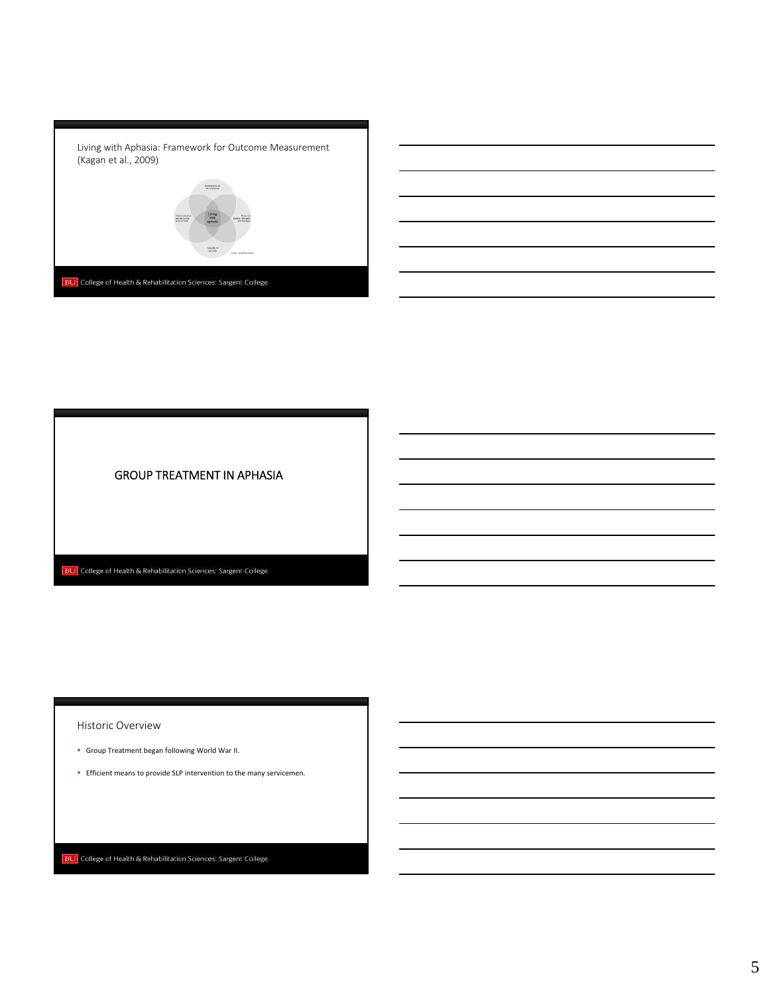

GROUP TREATMENT IN APHASIA

**BU** College of Health & Rehabilitation Sciences: Sargent College

Historic Overview

- Group Treatment began following World War II.
- **Efficient means to provide SLP intervention to the many servicemen.**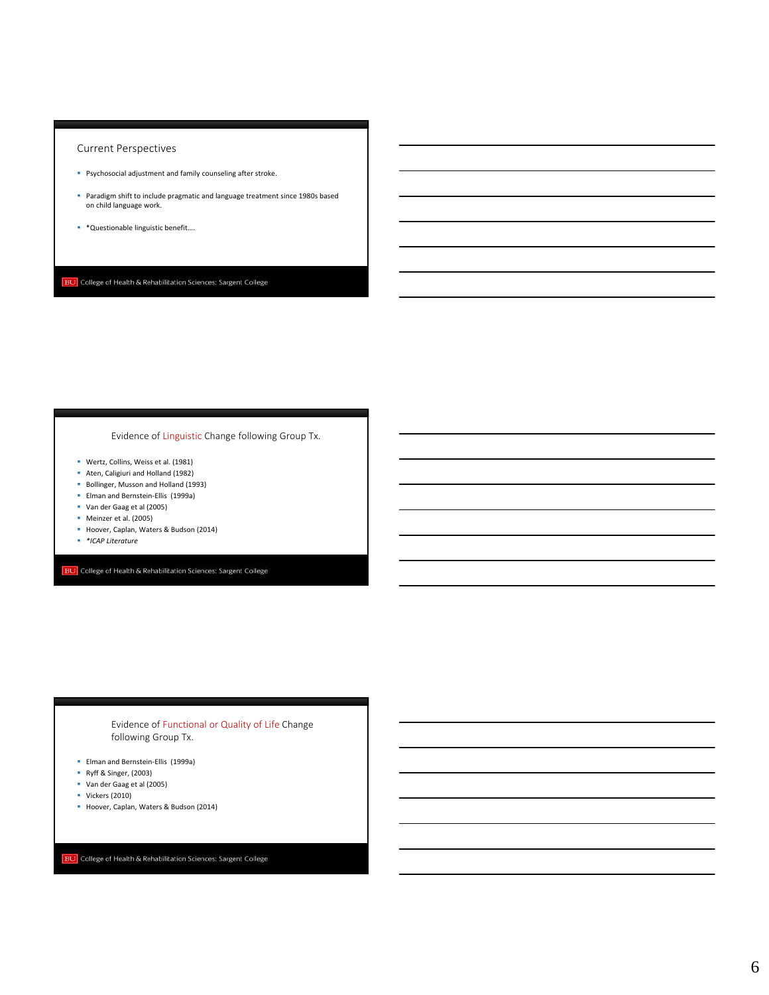## Current Perspectives

- Psychosocial adjustment and family counseling after stroke.
- Paradigm shift to include pragmatic and language treatment since 1980s based on child language work.
- \*Questionable linguistic benefit….

**BU** College of Health & Rehabilitation Sciences: Sargent College

## Evidence of Linguistic Change following Group Tx.

- Wertz, Collins, Weiss et al. (1981)
- Aten, Caligiuri and Holland (1982)
- Bollinger, Musson and Holland (1993)
- Elman and Bernstein-Ellis (1999a)
- Van der Gaag et al (2005)
- Meinzer et al. (2005)
- Hoover, Caplan, Waters & Budson (2014)
- *\*ICAP Literature*

**BU** College of Health & Rehabilitation Sciences: Sargent College

### following Group Tx. Evidence of Functional or Quality of Life Change

- Elman and Bernstein‐Ellis (1999a)
- Ryff & Singer, (2003)
- Van der Gaag et al (2005)
- Vickers (2010)
- Hoover, Caplan, Waters & Budson (2014)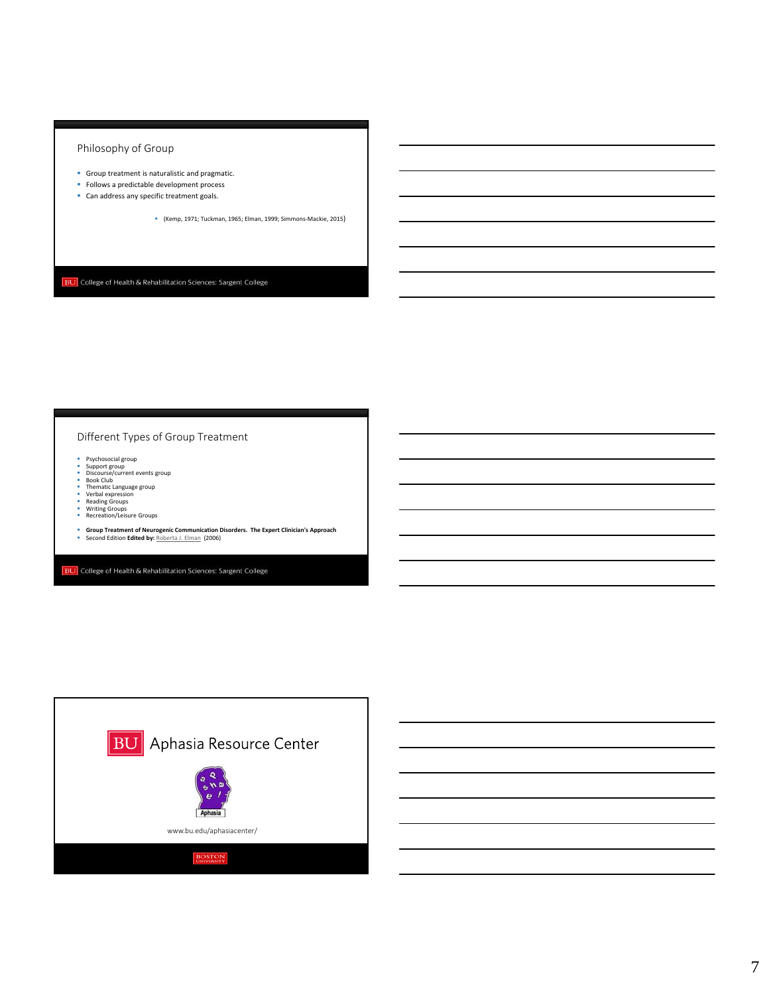## Philosophy of Group

- Group treatment is naturalistic and pragmatic.
- **Follows a predictable development process**
- **Can address any specific treatment goals.** 
	- (Kemp, 1971; Tuckman, 1965; Elman, 1999; Simmons‐Mackie, 2015)

**BU** College of Health & Rehabilitation Sciences: Sargent College

## Different Types of Group Treatment

- 
- 
- Psychosocial group<br>• Supcourse/current events group<br>• Book Club<br>• Thematic Language group<br>• Verbal expression<br>• Reading Groups<br>• Reading Groups<br>• Netring Groups<br>• Recreation/Leisure Groups
- 
- 
- 
- 
- **Group Treatment of Neurogenic Communication Disorders. The Expert Clinician's Approach** Second Edition **Edited by:** Roberta J. Elman (2006)

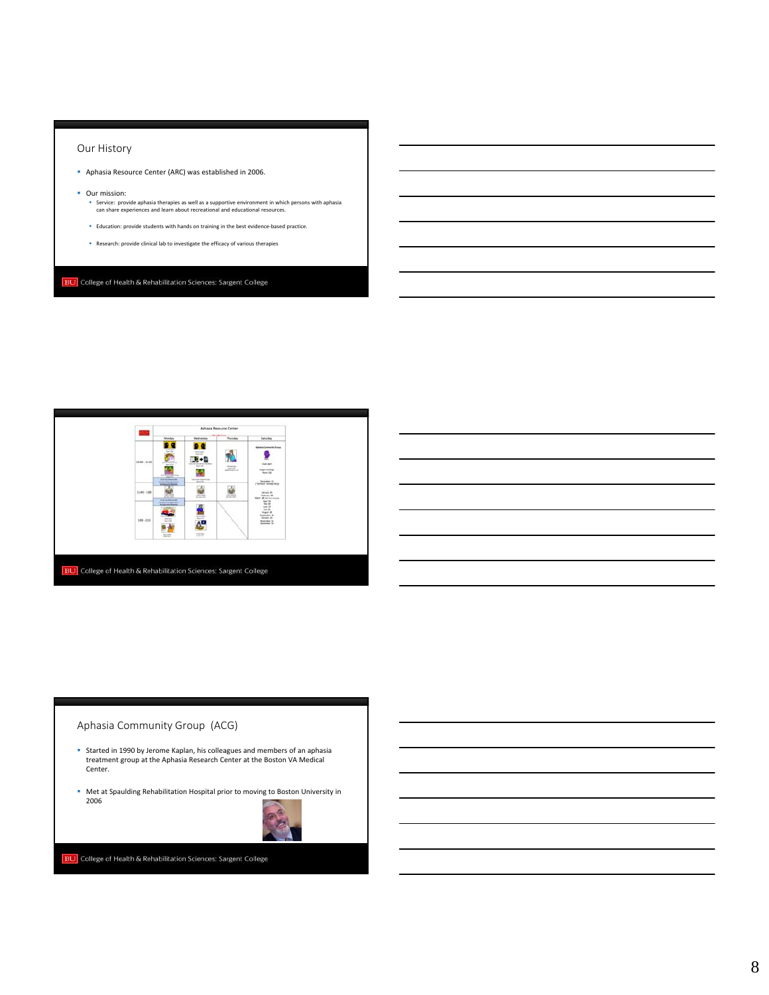## Our History

- Aphasia Resource Center (ARC) was established in 2006.
- **Our mission:** 
	- Service: provide aphasia therapies as well as a supportive environment in which persons with aphasia can share experiences and learn about recreational and educational resources.
	- Education: provide students with hands on training in the best evidence‐based practice.
	- Research: provide clinical lab to investigate the efficacy of various therapies

**BU** College of Health & Rehabilitation Sciences: Sargent College



## Aphasia Community Group (ACG)

- Started in 1990 by Jerome Kaplan, his colleagues and members of an aphasia treatment group at the Aphasia Research Center at the Boston VA Medical Center.
- Met at Spaulding Rehabilitation Hospital prior to moving to Boston University in 2006

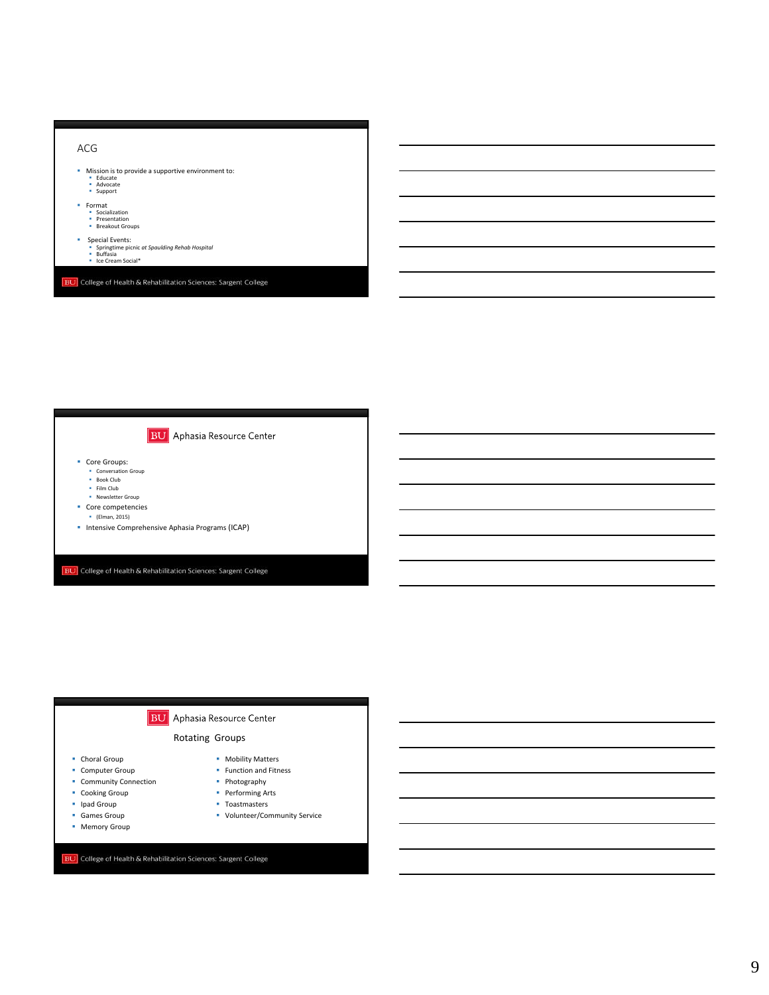



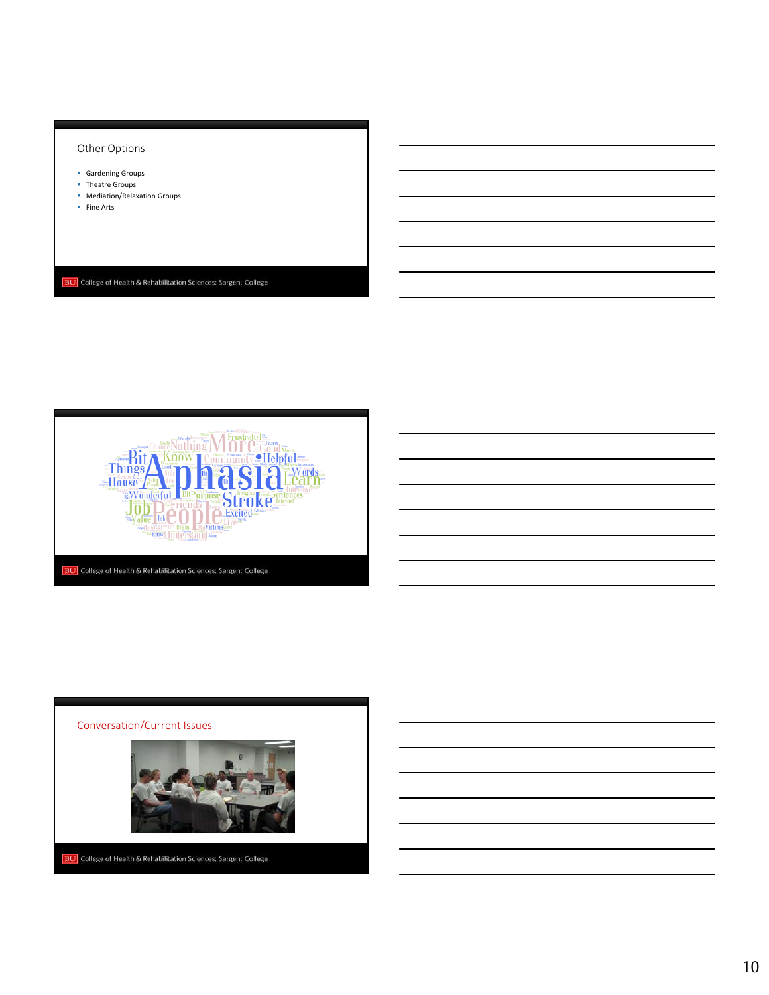## Other Options

- **Gardening Groups**
- **•** Theatre Groups
- **Mediation/Relaxation Groups**
- **Fine Arts**





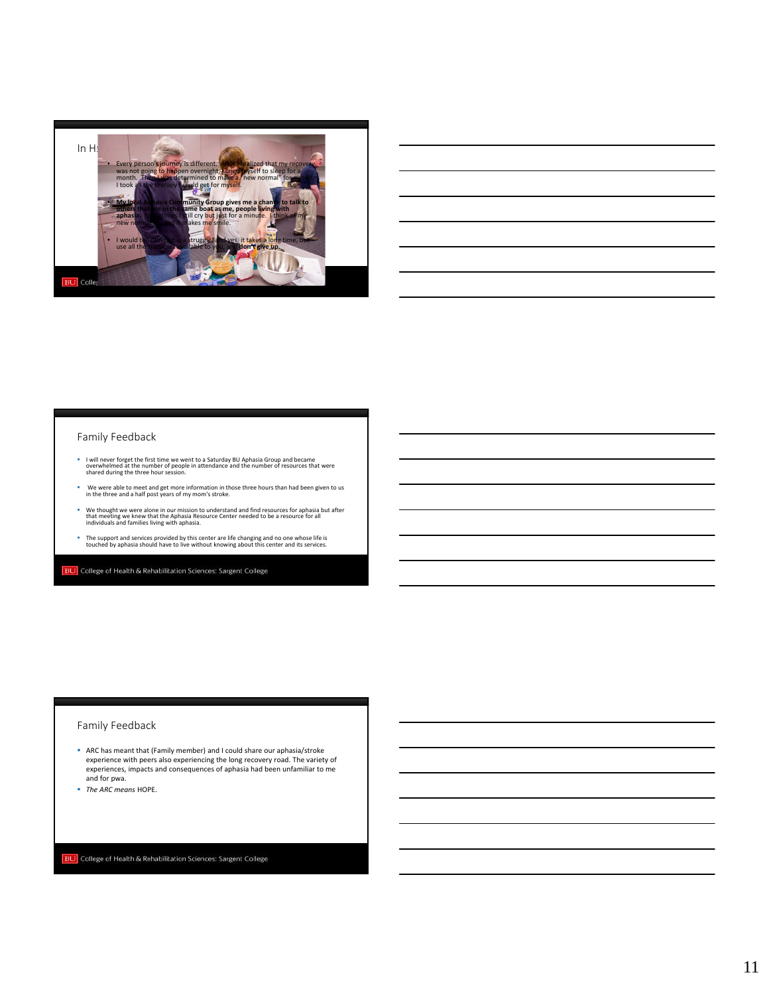

| <u> 1989 - Johann Barn, amerikan bernama di sebagai bernama di sebagai bernama di sebagai bernama di sebagai bern</u> |                                                                                                                       |  |  |  |
|-----------------------------------------------------------------------------------------------------------------------|-----------------------------------------------------------------------------------------------------------------------|--|--|--|
|                                                                                                                       | ,我们也不会有什么?""我们的人,我们也不会有什么?""我们的人,我们也不会有什么?""我们的人,我们也不会有什么?""我们的人,我们也不会有什么?""我们的人                                      |  |  |  |
|                                                                                                                       | <u> 1989 - Johann Stoff, deutscher Stoff, der Stoff, der Stoff, der Stoff, der Stoff, der Stoff, der Stoff, der S</u> |  |  |  |
|                                                                                                                       | <u> 1989 - Johann Stoff, deutscher Stoff, der Stoff, der Stoff, der Stoff, der Stoff, der Stoff, der Stoff, der S</u> |  |  |  |
|                                                                                                                       |                                                                                                                       |  |  |  |
|                                                                                                                       | <u> 1989 - Johann Stoff, deutscher Stoff, der Stoff, der Stoff, der Stoff, der Stoff, der Stoff, der Stoff, der S</u> |  |  |  |
|                                                                                                                       |                                                                                                                       |  |  |  |

L.

### Family Feedback

- " I will never forget the first time we went to a Saturday BU Aphasia Group and became<br>overwhelmed at the number of people in attendance and the number of resources that were<br>shared during the three hour session.
- We were able to meet and get more information in those three hours than had been given to us in the three and <sup>a</sup> half post years of my mom's stroke.
- We thought we were alone in our mission to understand and find resources for aphasia but after<br>that meeting we knew that the Aphasia Resource Center needed to be a resource for all<br>individuals and families living with apha
- The support and services provided by this center are life changing and no one whose life is touched by aphasia should have to live without knowing about this center and its services.

**BU** College of Health & Rehabilitation Sciences: Sargent College

## Family Feedback

- ARC has meant that (Family member) and I could share our aphasia/stroke experience with peers also experiencing the long recovery road. The variety of experiences, impacts and consequences of aphasia had been unfamiliar to me and for pwa.
- *The ARC means* HOPE.